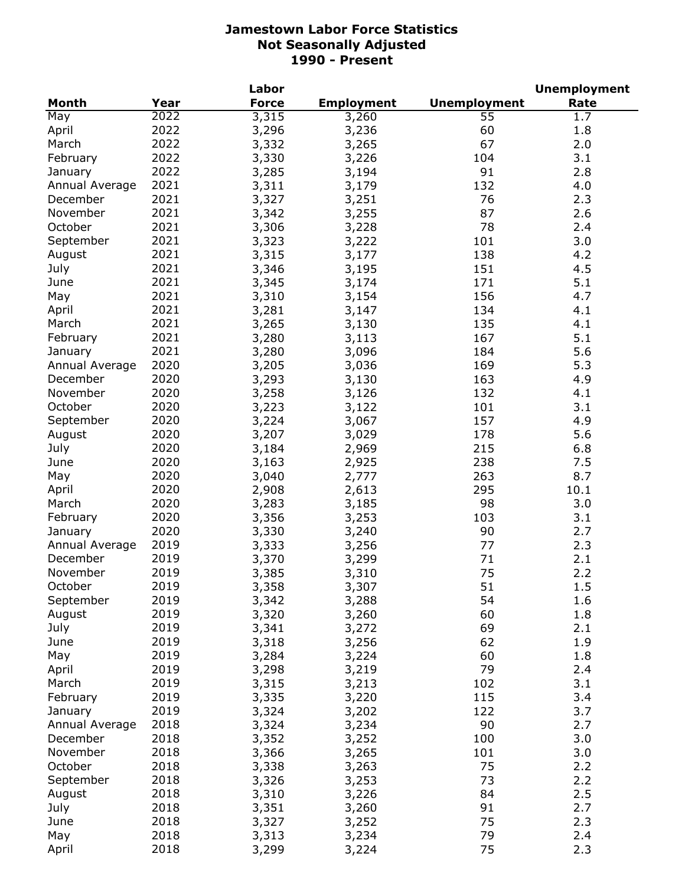|                |      | Labor        |                   |                     | <b>Unemployment</b> |
|----------------|------|--------------|-------------------|---------------------|---------------------|
| <b>Month</b>   | Year | <b>Force</b> | <b>Employment</b> | <b>Unemployment</b> | Rate                |
| May            | 2022 | 3,315        | 3,260             | 55                  | 1.7                 |
| April          | 2022 | 3,296        | 3,236             | 60                  | 1.8                 |
| March          | 2022 | 3,332        | 3,265             | 67                  | 2.0                 |
| February       | 2022 | 3,330        | 3,226             | 104                 | 3.1                 |
| January        | 2022 | 3,285        | 3,194             | 91                  | 2.8                 |
| Annual Average | 2021 | 3,311        | 3,179             | 132                 | 4.0                 |
| December       | 2021 | 3,327        | 3,251             | 76                  | 2.3                 |
| November       | 2021 | 3,342        | 3,255             | 87                  | 2.6                 |
| October        | 2021 | 3,306        |                   | 78                  | 2.4                 |
| September      | 2021 |              | 3,228             |                     | 3.0                 |
|                |      | 3,323        | 3,222             | 101                 |                     |
| August         | 2021 | 3,315        | 3,177             | 138                 | 4.2                 |
| July           | 2021 | 3,346        | 3,195             | 151                 | 4.5                 |
| June           | 2021 | 3,345        | 3,174             | 171                 | 5.1                 |
| May            | 2021 | 3,310        | 3,154             | 156                 | 4.7                 |
| April          | 2021 | 3,281        | 3,147             | 134                 | 4.1                 |
| March          | 2021 | 3,265        | 3,130             | 135                 | 4.1                 |
| February       | 2021 | 3,280        | 3,113             | 167                 | 5.1                 |
| January        | 2021 | 3,280        | 3,096             | 184                 | 5.6                 |
| Annual Average | 2020 | 3,205        | 3,036             | 169                 | 5.3                 |
| December       | 2020 | 3,293        | 3,130             | 163                 | 4.9                 |
| November       | 2020 | 3,258        | 3,126             | 132                 | 4.1                 |
| October        | 2020 | 3,223        | 3,122             | 101                 | 3.1                 |
| September      | 2020 | 3,224        | 3,067             | 157                 | 4.9                 |
| August         | 2020 | 3,207        | 3,029             | 178                 | 5.6                 |
| July           | 2020 | 3,184        | 2,969             | 215                 | 6.8                 |
| June           | 2020 | 3,163        | 2,925             | 238                 | 7.5                 |
| May            | 2020 | 3,040        | 2,777             | 263                 | 8.7                 |
| April          | 2020 | 2,908        | 2,613             | 295                 | 10.1                |
| March          | 2020 | 3,283        | 3,185             | 98                  | 3.0                 |
| February       | 2020 | 3,356        | 3,253             | 103                 | 3.1                 |
|                | 2020 |              |                   | 90                  | 2.7                 |
| January        |      | 3,330        | 3,240             |                     |                     |
| Annual Average | 2019 | 3,333        | 3,256             | 77                  | 2.3                 |
| December       | 2019 | 3,370        | 3,299             | 71                  | 2.1                 |
| November       | 2019 | 3,385        | 3,310             | 75                  | 2.2                 |
| October        | 2019 | 3,358        | 3,307             | 51                  | 1.5                 |
| September      | 2019 | 3,342        | 3,288             | 54                  | 1.6                 |
| August         | 2019 | 3,320        | 3,260             | 60                  | 1.8                 |
| July           | 2019 | 3,341        | 3,272             | 69                  | 2.1                 |
| June           | 2019 | 3,318        | 3,256             | 62                  | 1.9                 |
| May            | 2019 | 3,284        | 3,224             | 60                  | 1.8                 |
| April          | 2019 | 3,298        | 3,219             | 79                  | 2.4                 |
| March          | 2019 | 3,315        | 3,213             | 102                 | 3.1                 |
| February       | 2019 | 3,335        | 3,220             | 115                 | 3.4                 |
| January        | 2019 | 3,324        | 3,202             | 122                 | 3.7                 |
| Annual Average | 2018 | 3,324        | 3,234             | 90                  | 2.7                 |
| December       | 2018 | 3,352        | 3,252             | 100                 | 3.0                 |
| November       | 2018 | 3,366        | 3,265             | 101                 | 3.0                 |
| October        | 2018 | 3,338        | 3,263             | 75                  | 2.2                 |
| September      | 2018 | 3,326        | 3,253             | 73                  | 2.2                 |
| August         | 2018 | 3,310        | 3,226             | 84                  | 2.5                 |
| July           | 2018 | 3,351        | 3,260             | 91                  | 2.7                 |
| June           | 2018 | 3,327        |                   | 75                  | 2.3                 |
| May            | 2018 |              | 3,252             | 79                  |                     |
|                |      | 3,313        | 3,234             |                     | 2.4                 |
| April          | 2018 | 3,299        | 3,224             | 75                  | 2.3                 |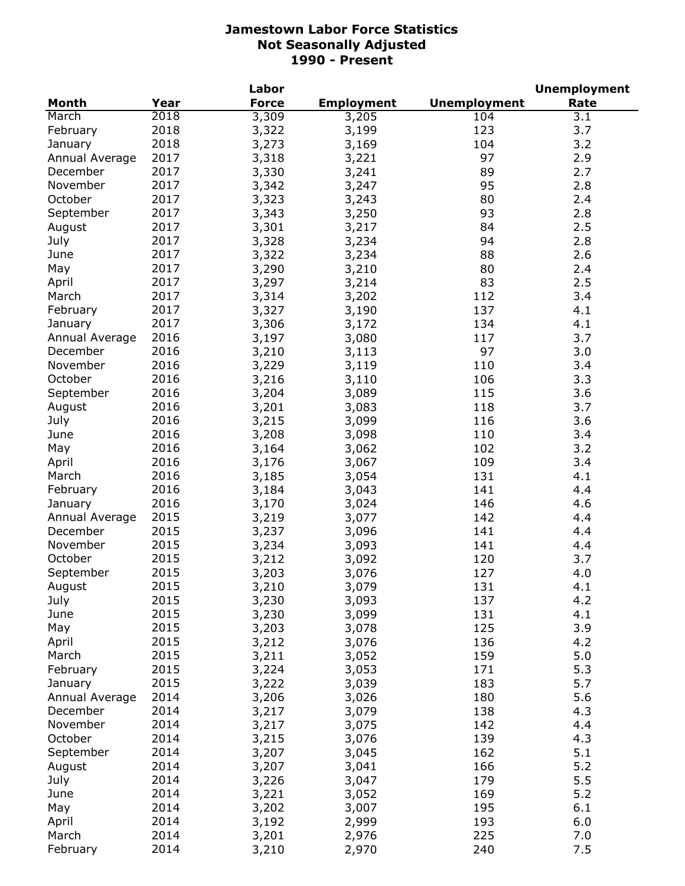|                |              | Labor        |                   |                     | <b>Unemployment</b> |
|----------------|--------------|--------------|-------------------|---------------------|---------------------|
| Month          | Year         | <b>Force</b> | <b>Employment</b> | <b>Unemployment</b> | Rate                |
| March          | 2018         | 3,309        | 3,205             | 104                 | 3.1                 |
| February       | 2018         | 3,322        | 3,199             | 123                 | 3.7                 |
| January        | 2018         | 3,273        | 3,169             | 104                 | 3.2                 |
| Annual Average | 2017         | 3,318        | 3,221             | 97                  | 2.9                 |
| December       | 2017         | 3,330        | 3,241             | 89                  | 2.7                 |
| November       | 2017         | 3,342        | 3,247             | 95                  | 2.8                 |
| October        | 2017         | 3,323        | 3,243             | 80                  | 2.4                 |
| September      | 2017         | 3,343        | 3,250             | 93                  | 2.8                 |
| August         | 2017         | 3,301        | 3,217             | 84                  | 2.5                 |
| July           | 2017         | 3,328        | 3,234             | 94                  | 2.8                 |
| June           | 2017         | 3,322        | 3,234             | 88                  | 2.6                 |
| May            | 2017         | 3,290        | 3,210             | 80                  | 2.4                 |
| April          | 2017         | 3,297        | 3,214             | 83                  | 2.5                 |
| March          | 2017         | 3,314        | 3,202             | 112                 | 3.4                 |
| February       | 2017         | 3,327        | 3,190             | 137                 | 4.1                 |
| January        | 2017         | 3,306        | 3,172             | 134                 | 4.1                 |
| Annual Average | 2016         | 3,197        | 3,080             | 117                 | 3.7                 |
| December       | 2016         | 3,210        | 3,113             | 97                  | 3.0                 |
| November       | 2016         | 3,229        | 3,119             | 110                 | 3.4                 |
| October        | 2016         | 3,216        | 3,110             | 106                 | 3.3                 |
| September      | 2016         | 3,204        | 3,089             | 115                 | 3.6                 |
| August         | 2016         | 3,201        | 3,083             | 118                 | 3.7                 |
| July           | 2016         | 3,215        | 3,099             | 116                 | 3.6                 |
| June           | 2016         | 3,208        | 3,098             | 110                 | 3.4                 |
| May            | 2016         | 3,164        | 3,062             | 102                 | 3.2                 |
| April          | 2016         | 3,176        | 3,067             | 109                 | 3.4                 |
| March          | 2016         | 3,185        | 3,054             | 131                 | 4.1                 |
| February       | 2016         | 3,184        | 3,043             | 141                 | 4.4                 |
| January        | 2016         | 3,170        | 3,024             | 146                 | 4.6                 |
| Annual Average | 2015         | 3,219        | 3,077             | 142                 | 4.4                 |
| December       | 2015         | 3,237        | 3,096             | 141                 | 4.4                 |
| November       | 2015         | 3,234        | 3,093             | 141                 | 4.4                 |
| October        | 2015         | 3,212        | 3,092             | 120                 | 3.7                 |
| September      | 2015         | 3,203        | 3,076             | 127                 | 4.0                 |
| August         | 2015         | 3,210        | 3,079             | 131                 | 4.1                 |
| July           | 2015         | 3,230        | 3,093             | 137                 | 4.2                 |
| June           | 2015         | 3,230        | 3,099             | 131                 | 4.1                 |
| May            | 2015         | 3,203        | 3,078             | 125                 | 3.9                 |
| April          | 2015         | 3,212        | 3,076             | 136                 | 4.2                 |
| March          | 2015         | 3,211        | 3,052             | 159                 | 5.0                 |
| February       | 2015         | 3,224        | 3,053             | 171                 | 5.3                 |
| January        | 2015         | 3,222        | 3,039             | 183                 | 5.7                 |
| Annual Average | 2014         | 3,206        | 3,026             | 180                 | 5.6                 |
| December       | 2014         | 3,217        | 3,079             | 138                 | 4.3                 |
| November       | 2014         | 3,217        | 3,075             | 142                 | 4.4                 |
| October        | 2014         | 3,215        | 3,076             | 139                 | 4.3                 |
| September      | 2014         | 3,207        |                   | 162                 | 5.1                 |
|                |              |              | 3,045             |                     | 5.2                 |
| August         | 2014<br>2014 | 3,207        | 3,041             | 166<br>179          |                     |
| July           | 2014         | 3,226        | 3,047             |                     | 5.5<br>5.2          |
| June           | 2014         | 3,221        | 3,052             | 169<br>195          | 6.1                 |
| May            | 2014         | 3,202        | 3,007             |                     |                     |
| April<br>March | 2014         | 3,192        | 2,999             | 193<br>225          | 6.0                 |
| February       | 2014         | 3,201        | 2,976             | 240                 | 7.0<br>7.5          |
|                |              | 3,210        | 2,970             |                     |                     |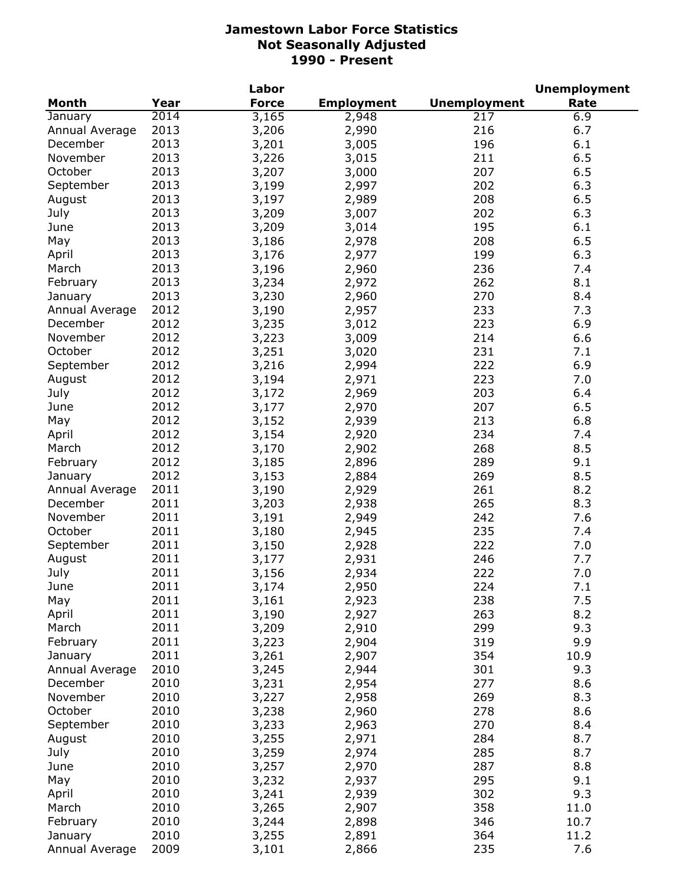|                |      | Labor        |                   |                     | <b>Unemployment</b> |
|----------------|------|--------------|-------------------|---------------------|---------------------|
| <b>Month</b>   | Year | <b>Force</b> | <b>Employment</b> | <b>Unemployment</b> | Rate                |
| January        | 2014 | 3,165        | 2,948             | 217                 | 6.9                 |
| Annual Average | 2013 | 3,206        | 2,990             | 216                 | 6.7                 |
| December       | 2013 | 3,201        | 3,005             | 196                 | 6.1                 |
| November       | 2013 | 3,226        | 3,015             | 211                 | 6.5                 |
| October        | 2013 | 3,207        | 3,000             | 207                 | 6.5                 |
| September      | 2013 | 3,199        | 2,997             | 202                 | 6.3                 |
| August         | 2013 | 3,197        | 2,989             | 208                 | 6.5                 |
| July           | 2013 | 3,209        | 3,007             | 202                 | 6.3                 |
| June           | 2013 | 3,209        | 3,014             | 195                 | 6.1                 |
| May            | 2013 | 3,186        | 2,978             | 208                 | 6.5                 |
| April          | 2013 | 3,176        | 2,977             | 199                 | 6.3                 |
| March          | 2013 | 3,196        | 2,960             | 236                 | 7.4                 |
| February       | 2013 | 3,234        | 2,972             | 262                 | 8.1                 |
| January        | 2013 | 3,230        | 2,960             | 270                 | 8.4                 |
| Annual Average | 2012 | 3,190        | 2,957             | 233                 | 7.3                 |
| December       | 2012 | 3,235        | 3,012             | 223                 | 6.9                 |
| November       | 2012 | 3,223        | 3,009             | 214                 | 6.6                 |
| October        | 2012 | 3,251        | 3,020             | 231                 | 7.1                 |
| September      | 2012 | 3,216        | 2,994             | 222                 | 6.9                 |
| August         | 2012 | 3,194        | 2,971             | 223                 | 7.0                 |
| July           | 2012 | 3,172        | 2,969             | 203                 | 6.4                 |
| June           | 2012 | 3,177        | 2,970             | 207                 | 6.5                 |
| May            | 2012 | 3,152        | 2,939             | 213                 | 6.8                 |
| April          | 2012 | 3,154        | 2,920             | 234                 | 7.4                 |
| March          | 2012 | 3,170        | 2,902             | 268                 | 8.5                 |
| February       | 2012 | 3,185        | 2,896             | 289                 | 9.1                 |
| January        | 2012 | 3,153        | 2,884             | 269                 | 8.5                 |
| Annual Average | 2011 | 3,190        | 2,929             | 261                 | 8.2                 |
| December       | 2011 | 3,203        | 2,938             | 265                 | 8.3                 |
| November       | 2011 | 3,191        | 2,949             | 242                 | 7.6                 |
| October        | 2011 | 3,180        | 2,945             | 235                 | 7.4                 |
| September      | 2011 | 3,150        | 2,928             | 222                 | 7.0                 |
| August         | 2011 | 3,177        | 2,931             | 246                 | 7.7                 |
| July           | 2011 | 3,156        | 2,934             | 222                 | 7.0                 |
| June           | 2011 | 3,174        | 2,950             | 224                 | 7.1                 |
| May            | 2011 | 3,161        | 2,923             | 238                 | 7.5                 |
| April          | 2011 | 3,190        | 2,927             | 263                 | 8.2                 |
| March          | 2011 | 3,209        | 2,910             | 299                 | 9.3                 |
| February       | 2011 | 3,223        | 2,904             | 319                 | 9.9                 |
| January        | 2011 | 3,261        | 2,907             | 354                 | 10.9                |
| Annual Average | 2010 | 3,245        | 2,944             | 301                 | 9.3                 |
| December       | 2010 | 3,231        | 2,954             | 277                 | 8.6                 |
| November       | 2010 | 3,227        | 2,958             | 269                 | 8.3                 |
| October        | 2010 | 3,238        | 2,960             | 278                 | 8.6                 |
| September      | 2010 | 3,233        | 2,963             | 270                 | 8.4                 |
| August         | 2010 | 3,255        | 2,971             | 284                 | 8.7                 |
| July           | 2010 | 3,259        | 2,974             | 285                 | 8.7                 |
| June           | 2010 | 3,257        | 2,970             | 287                 | 8.8                 |
| May            | 2010 | 3,232        | 2,937             | 295                 | 9.1                 |
| April          | 2010 | 3,241        | 2,939             | 302                 | 9.3                 |
| March          | 2010 | 3,265        | 2,907             | 358                 | 11.0                |
| February       | 2010 | 3,244        | 2,898             | 346                 | 10.7                |
| January        | 2010 | 3,255        | 2,891             | 364                 | 11.2                |
| Annual Average | 2009 | 3,101        | 2,866             | 235                 | 7.6                 |
|                |      |              |                   |                     |                     |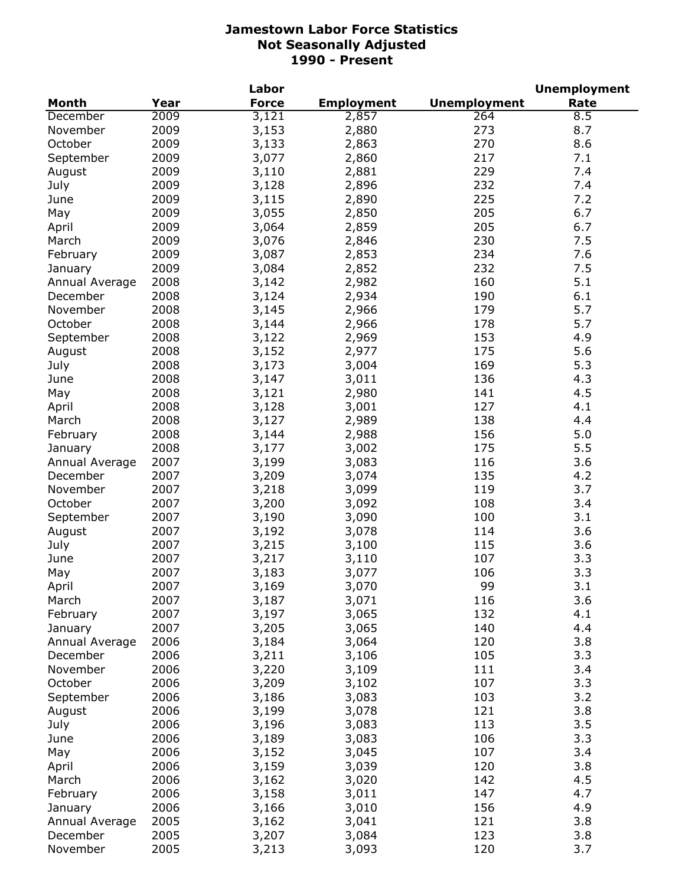|                |      | Labor        |                   |                     | <b>Unemployment</b> |
|----------------|------|--------------|-------------------|---------------------|---------------------|
| <b>Month</b>   | Year | <b>Force</b> | <b>Employment</b> | <b>Unemployment</b> | Rate                |
| December       | 2009 | 3,121        | 2,857             | 264                 | 8.5                 |
| November       | 2009 | 3,153        | 2,880             | 273                 | 8.7                 |
| October        | 2009 | 3,133        | 2,863             | 270                 | 8.6                 |
| September      | 2009 | 3,077        | 2,860             | 217                 | 7.1                 |
| August         | 2009 | 3,110        | 2,881             | 229                 | 7.4                 |
| July           | 2009 | 3,128        | 2,896             | 232                 | 7.4                 |
| June           | 2009 | 3,115        | 2,890             | 225                 | 7.2                 |
| May            | 2009 | 3,055        | 2,850             | 205                 | 6.7                 |
| April          | 2009 | 3,064        | 2,859             | 205                 | 6.7                 |
| March          | 2009 | 3,076        | 2,846             | 230                 | 7.5                 |
| February       | 2009 | 3,087        | 2,853             | 234                 | 7.6                 |
| January        | 2009 | 3,084        | 2,852             | 232                 | 7.5                 |
| Annual Average | 2008 | 3,142        | 2,982             | 160                 | 5.1                 |
| December       | 2008 | 3,124        | 2,934             | 190                 | 6.1                 |
| November       | 2008 | 3,145        | 2,966             | 179                 | 5.7                 |
| October        | 2008 |              |                   | 178                 | 5.7                 |
|                |      | 3,144        | 2,966             |                     |                     |
| September      | 2008 | 3,122        | 2,969             | 153                 | 4.9                 |
| August         | 2008 | 3,152        | 2,977             | 175                 | 5.6                 |
| July           | 2008 | 3,173        | 3,004             | 169                 | 5.3                 |
| June           | 2008 | 3,147        | 3,011             | 136                 | 4.3                 |
| May            | 2008 | 3,121        | 2,980             | 141                 | 4.5                 |
| April          | 2008 | 3,128        | 3,001             | 127                 | 4.1                 |
| March          | 2008 | 3,127        | 2,989             | 138                 | 4.4                 |
| February       | 2008 | 3,144        | 2,988             | 156                 | 5.0                 |
| January        | 2008 | 3,177        | 3,002             | 175                 | 5.5                 |
| Annual Average | 2007 | 3,199        | 3,083             | 116                 | 3.6                 |
| December       | 2007 | 3,209        | 3,074             | 135                 | 4.2                 |
| November       | 2007 | 3,218        | 3,099             | 119                 | 3.7                 |
| October        | 2007 | 3,200        | 3,092             | 108                 | 3.4                 |
| September      | 2007 | 3,190        | 3,090             | 100                 | 3.1                 |
| August         | 2007 | 3,192        | 3,078             | 114                 | 3.6                 |
| July           | 2007 | 3,215        | 3,100             | 115                 | 3.6                 |
| June           | 2007 | 3,217        | 3,110             | 107                 | 3.3                 |
| May            | 2007 | 3,183        | 3,077             | 106                 | 3.3                 |
| April          | 2007 | 3,169        | 3,070             | 99                  | 3.1                 |
| March          | 2007 | 3,187        | 3,071             | 116                 | 3.6                 |
| February       | 2007 | 3,197        | 3,065             | 132                 | 4.1                 |
| January        | 2007 | 3,205        | 3,065             | 140                 | 4.4                 |
| Annual Average | 2006 | 3,184        | 3,064             | 120                 | 3.8                 |
| December       | 2006 | 3,211        | 3,106             | 105                 | 3.3                 |
| November       | 2006 | 3,220        | 3,109             | 111                 | 3.4                 |
| October        | 2006 | 3,209        | 3,102             | 107                 | 3.3                 |
| September      | 2006 | 3,186        | 3,083             | 103                 | 3.2                 |
|                | 2006 | 3,199        |                   | 121                 | 3.8                 |
| August         |      |              | 3,078             |                     | 3.5                 |
| July           | 2006 | 3,196        | 3,083             | 113                 |                     |
| June           | 2006 | 3,189        | 3,083             | 106                 | 3.3                 |
| May            | 2006 | 3,152        | 3,045             | 107                 | 3.4                 |
| April          | 2006 | 3,159        | 3,039             | 120                 | 3.8                 |
| March          | 2006 | 3,162        | 3,020             | 142                 | 4.5                 |
| February       | 2006 | 3,158        | 3,011             | 147                 | 4.7                 |
| January        | 2006 | 3,166        | 3,010             | 156                 | 4.9                 |
| Annual Average | 2005 | 3,162        | 3,041             | 121                 | 3.8                 |
| December       | 2005 | 3,207        | 3,084             | 123                 | 3.8                 |
| November       | 2005 | 3,213        | 3,093             | 120                 | 3.7                 |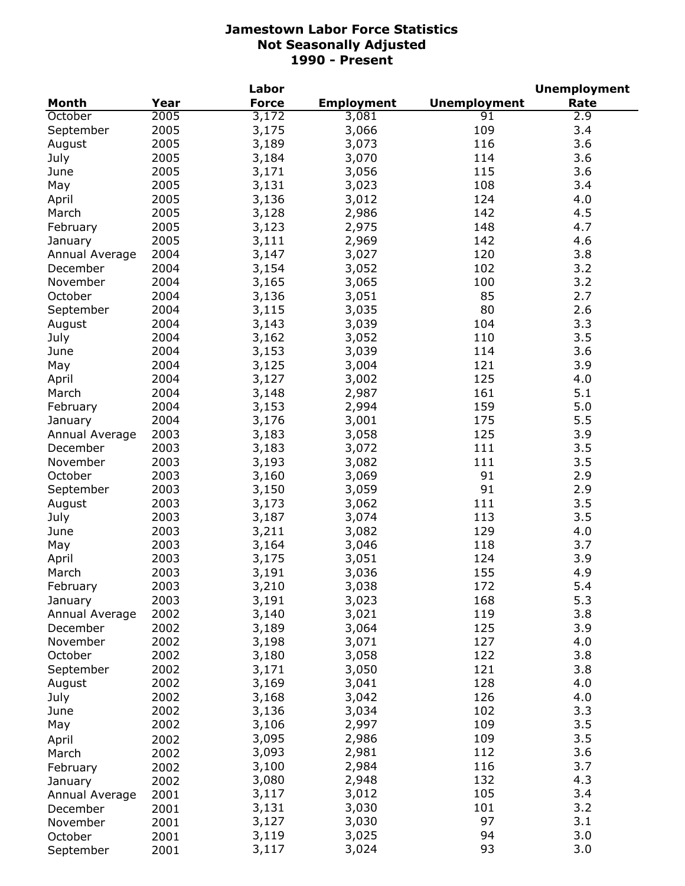|                |      | Labor        |                   |                     | <b>Unemployment</b> |
|----------------|------|--------------|-------------------|---------------------|---------------------|
| <b>Month</b>   | Year | <b>Force</b> | <b>Employment</b> | <b>Unemployment</b> | Rate                |
| October        | 2005 | 3,172        | 3,081             | 91                  | 2.9                 |
| September      | 2005 | 3,175        | 3,066             | 109                 | 3.4                 |
| August         | 2005 | 3,189        | 3,073             | 116                 | 3.6                 |
| July           | 2005 | 3,184        | 3,070             | 114                 | 3.6                 |
| June           | 2005 | 3,171        | 3,056             | 115                 | 3.6                 |
| May            | 2005 | 3,131        | 3,023             | 108                 | 3.4                 |
| April          | 2005 | 3,136        | 3,012             | 124                 | 4.0                 |
| March          | 2005 | 3,128        | 2,986             | 142                 | 4.5                 |
| February       | 2005 | 3,123        | 2,975             | 148                 | 4.7                 |
| January        | 2005 | 3,111        | 2,969             | 142                 | 4.6                 |
| Annual Average | 2004 | 3,147        | 3,027             | 120                 | 3.8                 |
| December       | 2004 | 3,154        | 3,052             | 102                 | 3.2                 |
| November       | 2004 | 3,165        | 3,065             | 100                 | 3.2                 |
| October        | 2004 | 3,136        | 3,051             | 85                  | 2.7                 |
|                | 2004 | 3,115        | 3,035             | 80                  | 2.6                 |
| September      |      |              |                   |                     |                     |
| August         | 2004 | 3,143        | 3,039             | 104                 | 3.3                 |
| July           | 2004 | 3,162        | 3,052             | 110                 | 3.5                 |
| June           | 2004 | 3,153        | 3,039             | 114                 | 3.6                 |
| May            | 2004 | 3,125        | 3,004             | 121                 | 3.9                 |
| April          | 2004 | 3,127        | 3,002             | 125                 | 4.0                 |
| March          | 2004 | 3,148        | 2,987             | 161                 | 5.1                 |
| February       | 2004 | 3,153        | 2,994             | 159                 | 5.0                 |
| January        | 2004 | 3,176        | 3,001             | 175                 | 5.5                 |
| Annual Average | 2003 | 3,183        | 3,058             | 125                 | 3.9                 |
| December       | 2003 | 3,183        | 3,072             | 111                 | 3.5                 |
| November       | 2003 | 3,193        | 3,082             | 111                 | 3.5                 |
| October        | 2003 | 3,160        | 3,069             | 91                  | 2.9                 |
| September      | 2003 | 3,150        | 3,059             | 91                  | 2.9                 |
| August         | 2003 | 3,173        | 3,062             | 111                 | 3.5                 |
| July           | 2003 | 3,187        | 3,074             | 113                 | 3.5                 |
| June           | 2003 | 3,211        | 3,082             | 129                 | 4.0                 |
| May            | 2003 | 3,164        | 3,046             | 118                 | 3.7                 |
| April          | 2003 | 3,175        | 3,051             | 124                 | 3.9                 |
| March          | 2003 | 3,191        | 3,036             | 155                 | 4.9                 |
| February       | 2003 | 3,210        | 3,038             | 172                 | 5.4                 |
| January        | 2003 | 3,191        | 3,023             | 168                 | 5.3                 |
| Annual Average | 2002 | 3,140        | 3,021             | 119                 | 3.8                 |
| December       | 2002 | 3,189        | 3,064             | 125                 | 3.9                 |
| November       | 2002 | 3,198        | 3,071             | 127                 | 4.0                 |
| October        | 2002 | 3,180        | 3,058             | 122                 | 3.8                 |
| September      | 2002 | 3,171        | 3,050             | 121                 | 3.8                 |
| August         | 2002 | 3,169        | 3,041             | 128                 | 4.0                 |
| July           | 2002 | 3,168        | 3,042             | 126                 | 4.0                 |
| June           | 2002 | 3,136        | 3,034             | 102                 | 3.3                 |
| May            | 2002 | 3,106        | 2,997             | 109                 | 3.5                 |
|                |      | 3,095        | 2,986             | 109                 | 3.5                 |
| April          | 2002 |              |                   | 112                 |                     |
| March          | 2002 | 3,093        | 2,981             |                     | 3.6                 |
| February       | 2002 | 3,100        | 2,984             | 116                 | 3.7                 |
| January        | 2002 | 3,080        | 2,948             | 132                 | 4.3                 |
| Annual Average | 2001 | 3,117        | 3,012             | 105                 | 3.4                 |
| December       | 2001 | 3,131        | 3,030             | 101                 | 3.2                 |
| November       | 2001 | 3,127        | 3,030             | 97                  | 3.1                 |
| October        | 2001 | 3,119        | 3,025             | 94                  | 3.0                 |
| September      | 2001 | 3,117        | 3,024             | 93                  | 3.0                 |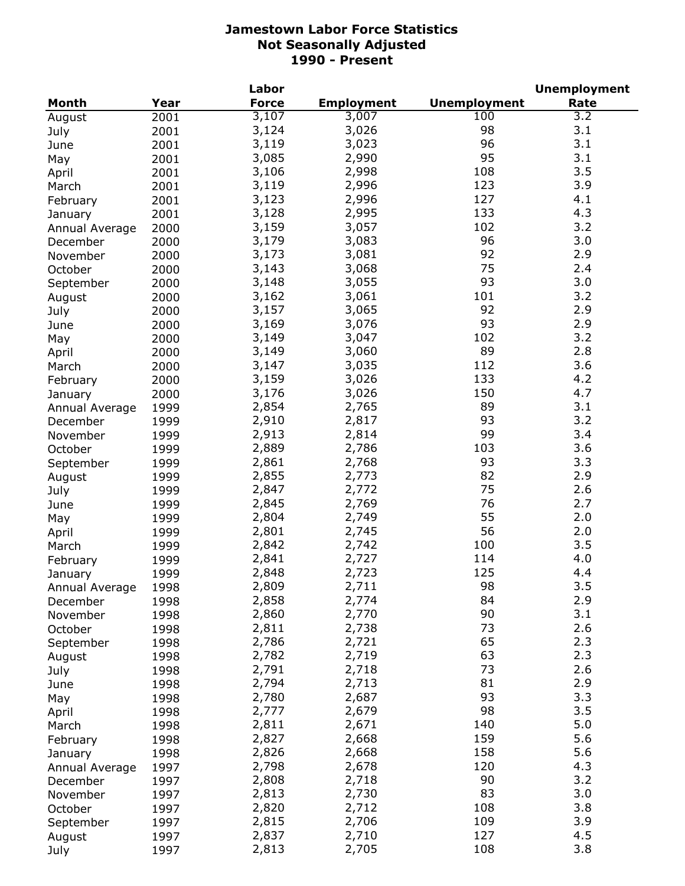|                |      | Labor        |                   |                     | <b>Unemployment</b> |
|----------------|------|--------------|-------------------|---------------------|---------------------|
| <b>Month</b>   | Year | <b>Force</b> | <b>Employment</b> | <b>Unemployment</b> | Rate                |
| August         | 2001 | 3,107        | 3,007             | 100                 | 3.2                 |
| July           | 2001 | 3,124        | 3,026             | 98                  | 3.1                 |
| June           | 2001 | 3,119        | 3,023             | 96                  | 3.1                 |
| May            | 2001 | 3,085        | 2,990             | 95                  | 3.1                 |
| April          | 2001 | 3,106        | 2,998             | 108                 | 3.5                 |
| March          | 2001 | 3,119        | 2,996             | 123                 | 3.9                 |
| February       | 2001 | 3,123        | 2,996             | 127                 | 4.1                 |
| January        | 2001 | 3,128        | 2,995             | 133                 | 4.3                 |
| Annual Average | 2000 | 3,159        | 3,057             | 102                 | 3.2                 |
| December       | 2000 | 3,179        | 3,083             | 96                  | 3.0                 |
| November       | 2000 | 3,173        | 3,081             | 92                  | 2.9                 |
| October        | 2000 | 3,143        | 3,068             | 75                  | 2.4                 |
|                |      | 3,148        | 3,055             | 93                  | 3.0                 |
| September      | 2000 | 3,162        | 3,061             | 101                 | 3.2                 |
| August         | 2000 | 3,157        | 3,065             | 92                  | 2.9                 |
| July           | 2000 |              |                   | 93                  |                     |
| June           | 2000 | 3,169        | 3,076             |                     | 2.9                 |
| May            | 2000 | 3,149        | 3,047             | 102                 | 3.2                 |
| April          | 2000 | 3,149        | 3,060             | 89                  | 2.8                 |
| March          | 2000 | 3,147        | 3,035             | 112                 | 3.6                 |
| February       | 2000 | 3,159        | 3,026             | 133                 | 4.2                 |
| January        | 2000 | 3,176        | 3,026             | 150                 | 4.7                 |
| Annual Average | 1999 | 2,854        | 2,765             | 89                  | 3.1                 |
| December       | 1999 | 2,910        | 2,817             | 93                  | 3.2                 |
| November       | 1999 | 2,913        | 2,814             | 99                  | 3.4                 |
| October        | 1999 | 2,889        | 2,786             | 103                 | 3.6                 |
| September      | 1999 | 2,861        | 2,768             | 93                  | 3.3                 |
| August         | 1999 | 2,855        | 2,773             | 82                  | 2.9                 |
| July           | 1999 | 2,847        | 2,772             | 75                  | 2.6                 |
| June           | 1999 | 2,845        | 2,769             | 76                  | 2.7                 |
| May            | 1999 | 2,804        | 2,749             | 55                  | 2.0                 |
| April          | 1999 | 2,801        | 2,745             | 56                  | 2.0                 |
| March          | 1999 | 2,842        | 2,742             | 100                 | 3.5                 |
| February       | 1999 | 2,841        | 2,727             | 114                 | 4.0                 |
| January        | 1999 | 2,848        | 2,723             | 125                 | 4.4                 |
| Annual Average | 1998 | 2,809        | 2,711             | 98                  | 3.5                 |
| December       | 1998 | 2,858        | 2,774             | 84                  | 2.9                 |
| November       | 1998 | 2,860        | 2,770             | 90                  | 3.1                 |
| October        | 1998 | 2,811        | 2,738             | 73                  | 2.6                 |
| September      | 1998 | 2,786        | 2,721             | 65                  | 2.3                 |
| August         | 1998 | 2,782        | 2,719             | 63                  | 2.3                 |
| July           | 1998 | 2,791        | 2,718             | 73                  | 2.6                 |
| June           | 1998 | 2,794        | 2,713             | 81                  | 2.9                 |
|                |      | 2,780        | 2,687             | 93                  | 3.3                 |
| May            | 1998 | 2,777        | 2,679             | 98                  | 3.5                 |
| April          | 1998 | 2,811        | 2,671             | 140                 | 5.0                 |
| March          | 1998 |              |                   |                     |                     |
| February       | 1998 | 2,827        | 2,668             | 159                 | 5.6                 |
| January        | 1998 | 2,826        | 2,668             | 158                 | 5.6                 |
| Annual Average | 1997 | 2,798        | 2,678             | 120                 | 4.3                 |
| December       | 1997 | 2,808        | 2,718             | 90                  | 3.2                 |
| November       | 1997 | 2,813        | 2,730             | 83                  | 3.0                 |
| October        | 1997 | 2,820        | 2,712             | 108                 | 3.8                 |
| September      | 1997 | 2,815        | 2,706             | 109                 | 3.9                 |
| August         | 1997 | 2,837        | 2,710             | 127                 | 4.5                 |
| July           | 1997 | 2,813        | 2,705             | 108                 | 3.8                 |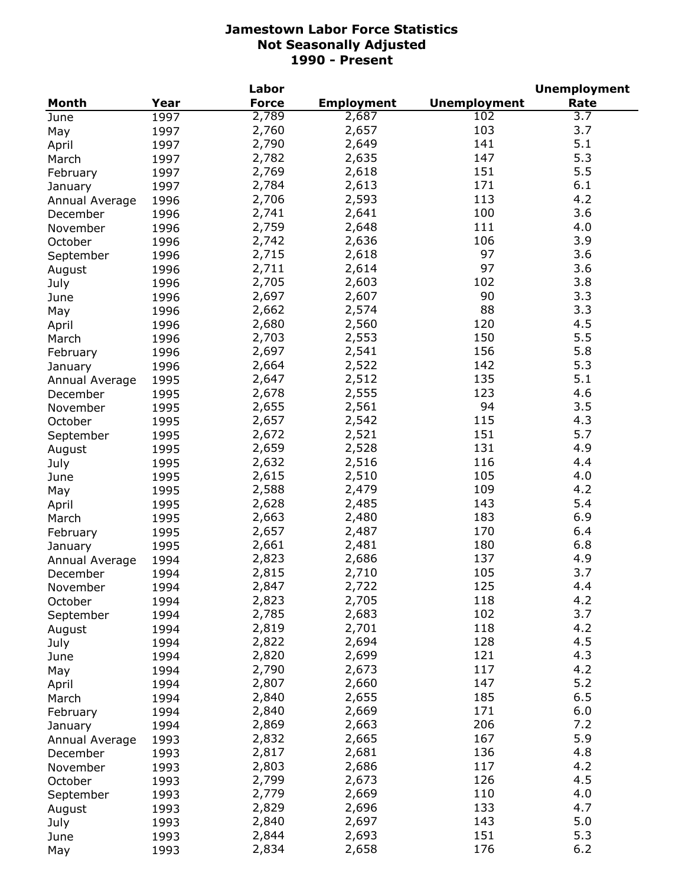| <b>Month</b><br>Year<br><b>Force</b><br><b>Employment</b><br><b>Unemployment</b><br>Rate<br>2,789<br>2,687<br>102<br>3.7<br>1997<br>June<br>2,760<br>103<br>3.7<br>2,657<br>1997<br>May<br>141<br>5.1<br>2,790<br>2,649<br>1997<br>April<br>147<br>5.3<br>2,782<br>2,635<br>1997<br>March<br>151<br>5.5<br>2,769<br>2,618<br>1997<br>February<br>171<br>6.1<br>2,784<br>2,613<br>1997<br>January<br>2,706<br>113<br>4.2<br>2,593<br>1996<br>Annual Average<br>2,741<br>100<br>3.6<br>2,641<br>1996<br>December<br>2,759<br>4.0<br>2,648<br>111<br>1996<br>November<br>2,742<br>106<br>3.9<br>2,636<br>1996<br>October<br>97<br>2,715<br>2,618<br>3.6<br>1996<br>September<br>97<br>2,711<br>2,614<br>3.6<br>1996<br>August<br>2,705<br>2,603<br>102<br>3.8<br>1996<br>July<br>90<br>2,697<br>2,607<br>3.3<br>1996<br>June<br>88<br>3.3<br>2,662<br>2,574<br>1996<br>May<br>2,560<br>120<br>4.5<br>2,680<br>1996<br>April<br>5.5<br>150<br>2,703<br>2,553<br>1996<br>March<br>5.8<br>156<br>2,697<br>2,541<br>1996<br>February<br>142<br>5.3<br>2,664<br>2,522<br>1996<br>January<br>135<br>5.1<br>2,647<br>2,512<br>1995<br>Annual Average<br>123<br>4.6<br>2,678<br>2,555<br>1995<br>December<br>94<br>3.5<br>2,655<br>2,561<br>1995<br>November<br>115<br>4.3<br>2,657<br>2,542<br>1995<br>October<br>151<br>5.7<br>2,672<br>2,521<br>1995<br>September<br>2,659<br>2,528<br>131<br>4.9<br>1995<br>August<br>2,632<br>2,516<br>116<br>4.4<br>1995<br>July<br>2,615<br>2,510<br>105<br>4.0<br>1995<br>June<br>2,588<br>2,479<br>109<br>4.2<br>1995<br>May<br>2,628<br>2,485<br>143<br>5.4<br>1995<br>April<br>2,663<br>2,480<br>183<br>6.9<br>1995<br>March<br>2,657<br>170<br>6.4<br>2,487<br>1995<br>February<br>2,661<br>180<br>6.8<br>2,481<br>1995<br>January<br>137<br>4.9<br>2,823<br>2,686<br>1994<br>Annual Average<br>105<br>3.7<br>2,815<br>2,710<br>1994<br>December<br>125<br>4.4<br>2,722<br>November<br>1994<br>2,847<br>118<br>4.2<br>2,823<br>2,705<br>1994<br>October<br>3.7<br>102<br>2,785<br>2,683<br>1994<br>September<br>4.2<br>2,819<br>2,701<br>118<br>1994<br>August<br>128<br>4.5<br>2,822<br>2,694<br>1994<br>July<br>4.3<br>2,820<br>2,699<br>121<br>1994<br>June<br>117<br>4.2<br>2,790<br>2,673<br>1994<br>May<br>2,807<br>147<br>5.2<br>2,660<br>1994<br>April<br>2,840<br>185<br>6.5<br>2,655<br>1994<br>March<br>2,840<br>6.0<br>2,669<br>171<br>1994<br>February<br>2,869<br>206<br>7.2<br>2,663<br>1994<br>January<br>5.9<br>2,832<br>2,665<br>167<br>1993<br>Annual Average<br>2,817<br>136<br>4.8<br>2,681<br>1993<br>December<br>2,803<br>117<br>4.2<br>2,686<br>1993<br>November<br>2,799<br>126<br>4.5<br>2,673<br>1993<br>October<br>110<br>4.0<br>2,779<br>2,669<br>1993<br>September<br>133<br>4.7<br>2,829<br>2,696<br>1993<br>August<br>5.0<br>143<br>2,840<br>2,697<br>1993<br>July<br>151<br>5.3<br>2,844<br>2,693<br>1993<br>June<br>176<br>6.2<br>2,834<br>2,658<br>1993<br>May |  | Labor |  | <b>Unemployment</b> |
|------------------------------------------------------------------------------------------------------------------------------------------------------------------------------------------------------------------------------------------------------------------------------------------------------------------------------------------------------------------------------------------------------------------------------------------------------------------------------------------------------------------------------------------------------------------------------------------------------------------------------------------------------------------------------------------------------------------------------------------------------------------------------------------------------------------------------------------------------------------------------------------------------------------------------------------------------------------------------------------------------------------------------------------------------------------------------------------------------------------------------------------------------------------------------------------------------------------------------------------------------------------------------------------------------------------------------------------------------------------------------------------------------------------------------------------------------------------------------------------------------------------------------------------------------------------------------------------------------------------------------------------------------------------------------------------------------------------------------------------------------------------------------------------------------------------------------------------------------------------------------------------------------------------------------------------------------------------------------------------------------------------------------------------------------------------------------------------------------------------------------------------------------------------------------------------------------------------------------------------------------------------------------------------------------------------------------------------------------------------------------------------------------------------------------------------------------------------------------------------------------------------------------------------------------------------------------------------------------------------------------------------------------------------------------------------------------------------------------------------------------------------------------------------------------------------------------------------------------------------------------------------------------------------------------------|--|-------|--|---------------------|
|                                                                                                                                                                                                                                                                                                                                                                                                                                                                                                                                                                                                                                                                                                                                                                                                                                                                                                                                                                                                                                                                                                                                                                                                                                                                                                                                                                                                                                                                                                                                                                                                                                                                                                                                                                                                                                                                                                                                                                                                                                                                                                                                                                                                                                                                                                                                                                                                                                                                                                                                                                                                                                                                                                                                                                                                                                                                                                                                    |  |       |  |                     |
|                                                                                                                                                                                                                                                                                                                                                                                                                                                                                                                                                                                                                                                                                                                                                                                                                                                                                                                                                                                                                                                                                                                                                                                                                                                                                                                                                                                                                                                                                                                                                                                                                                                                                                                                                                                                                                                                                                                                                                                                                                                                                                                                                                                                                                                                                                                                                                                                                                                                                                                                                                                                                                                                                                                                                                                                                                                                                                                                    |  |       |  |                     |
|                                                                                                                                                                                                                                                                                                                                                                                                                                                                                                                                                                                                                                                                                                                                                                                                                                                                                                                                                                                                                                                                                                                                                                                                                                                                                                                                                                                                                                                                                                                                                                                                                                                                                                                                                                                                                                                                                                                                                                                                                                                                                                                                                                                                                                                                                                                                                                                                                                                                                                                                                                                                                                                                                                                                                                                                                                                                                                                                    |  |       |  |                     |
|                                                                                                                                                                                                                                                                                                                                                                                                                                                                                                                                                                                                                                                                                                                                                                                                                                                                                                                                                                                                                                                                                                                                                                                                                                                                                                                                                                                                                                                                                                                                                                                                                                                                                                                                                                                                                                                                                                                                                                                                                                                                                                                                                                                                                                                                                                                                                                                                                                                                                                                                                                                                                                                                                                                                                                                                                                                                                                                                    |  |       |  |                     |
|                                                                                                                                                                                                                                                                                                                                                                                                                                                                                                                                                                                                                                                                                                                                                                                                                                                                                                                                                                                                                                                                                                                                                                                                                                                                                                                                                                                                                                                                                                                                                                                                                                                                                                                                                                                                                                                                                                                                                                                                                                                                                                                                                                                                                                                                                                                                                                                                                                                                                                                                                                                                                                                                                                                                                                                                                                                                                                                                    |  |       |  |                     |
|                                                                                                                                                                                                                                                                                                                                                                                                                                                                                                                                                                                                                                                                                                                                                                                                                                                                                                                                                                                                                                                                                                                                                                                                                                                                                                                                                                                                                                                                                                                                                                                                                                                                                                                                                                                                                                                                                                                                                                                                                                                                                                                                                                                                                                                                                                                                                                                                                                                                                                                                                                                                                                                                                                                                                                                                                                                                                                                                    |  |       |  |                     |
|                                                                                                                                                                                                                                                                                                                                                                                                                                                                                                                                                                                                                                                                                                                                                                                                                                                                                                                                                                                                                                                                                                                                                                                                                                                                                                                                                                                                                                                                                                                                                                                                                                                                                                                                                                                                                                                                                                                                                                                                                                                                                                                                                                                                                                                                                                                                                                                                                                                                                                                                                                                                                                                                                                                                                                                                                                                                                                                                    |  |       |  |                     |
|                                                                                                                                                                                                                                                                                                                                                                                                                                                                                                                                                                                                                                                                                                                                                                                                                                                                                                                                                                                                                                                                                                                                                                                                                                                                                                                                                                                                                                                                                                                                                                                                                                                                                                                                                                                                                                                                                                                                                                                                                                                                                                                                                                                                                                                                                                                                                                                                                                                                                                                                                                                                                                                                                                                                                                                                                                                                                                                                    |  |       |  |                     |
|                                                                                                                                                                                                                                                                                                                                                                                                                                                                                                                                                                                                                                                                                                                                                                                                                                                                                                                                                                                                                                                                                                                                                                                                                                                                                                                                                                                                                                                                                                                                                                                                                                                                                                                                                                                                                                                                                                                                                                                                                                                                                                                                                                                                                                                                                                                                                                                                                                                                                                                                                                                                                                                                                                                                                                                                                                                                                                                                    |  |       |  |                     |
|                                                                                                                                                                                                                                                                                                                                                                                                                                                                                                                                                                                                                                                                                                                                                                                                                                                                                                                                                                                                                                                                                                                                                                                                                                                                                                                                                                                                                                                                                                                                                                                                                                                                                                                                                                                                                                                                                                                                                                                                                                                                                                                                                                                                                                                                                                                                                                                                                                                                                                                                                                                                                                                                                                                                                                                                                                                                                                                                    |  |       |  |                     |
|                                                                                                                                                                                                                                                                                                                                                                                                                                                                                                                                                                                                                                                                                                                                                                                                                                                                                                                                                                                                                                                                                                                                                                                                                                                                                                                                                                                                                                                                                                                                                                                                                                                                                                                                                                                                                                                                                                                                                                                                                                                                                                                                                                                                                                                                                                                                                                                                                                                                                                                                                                                                                                                                                                                                                                                                                                                                                                                                    |  |       |  |                     |
|                                                                                                                                                                                                                                                                                                                                                                                                                                                                                                                                                                                                                                                                                                                                                                                                                                                                                                                                                                                                                                                                                                                                                                                                                                                                                                                                                                                                                                                                                                                                                                                                                                                                                                                                                                                                                                                                                                                                                                                                                                                                                                                                                                                                                                                                                                                                                                                                                                                                                                                                                                                                                                                                                                                                                                                                                                                                                                                                    |  |       |  |                     |
|                                                                                                                                                                                                                                                                                                                                                                                                                                                                                                                                                                                                                                                                                                                                                                                                                                                                                                                                                                                                                                                                                                                                                                                                                                                                                                                                                                                                                                                                                                                                                                                                                                                                                                                                                                                                                                                                                                                                                                                                                                                                                                                                                                                                                                                                                                                                                                                                                                                                                                                                                                                                                                                                                                                                                                                                                                                                                                                                    |  |       |  |                     |
|                                                                                                                                                                                                                                                                                                                                                                                                                                                                                                                                                                                                                                                                                                                                                                                                                                                                                                                                                                                                                                                                                                                                                                                                                                                                                                                                                                                                                                                                                                                                                                                                                                                                                                                                                                                                                                                                                                                                                                                                                                                                                                                                                                                                                                                                                                                                                                                                                                                                                                                                                                                                                                                                                                                                                                                                                                                                                                                                    |  |       |  |                     |
|                                                                                                                                                                                                                                                                                                                                                                                                                                                                                                                                                                                                                                                                                                                                                                                                                                                                                                                                                                                                                                                                                                                                                                                                                                                                                                                                                                                                                                                                                                                                                                                                                                                                                                                                                                                                                                                                                                                                                                                                                                                                                                                                                                                                                                                                                                                                                                                                                                                                                                                                                                                                                                                                                                                                                                                                                                                                                                                                    |  |       |  |                     |
|                                                                                                                                                                                                                                                                                                                                                                                                                                                                                                                                                                                                                                                                                                                                                                                                                                                                                                                                                                                                                                                                                                                                                                                                                                                                                                                                                                                                                                                                                                                                                                                                                                                                                                                                                                                                                                                                                                                                                                                                                                                                                                                                                                                                                                                                                                                                                                                                                                                                                                                                                                                                                                                                                                                                                                                                                                                                                                                                    |  |       |  |                     |
|                                                                                                                                                                                                                                                                                                                                                                                                                                                                                                                                                                                                                                                                                                                                                                                                                                                                                                                                                                                                                                                                                                                                                                                                                                                                                                                                                                                                                                                                                                                                                                                                                                                                                                                                                                                                                                                                                                                                                                                                                                                                                                                                                                                                                                                                                                                                                                                                                                                                                                                                                                                                                                                                                                                                                                                                                                                                                                                                    |  |       |  |                     |
|                                                                                                                                                                                                                                                                                                                                                                                                                                                                                                                                                                                                                                                                                                                                                                                                                                                                                                                                                                                                                                                                                                                                                                                                                                                                                                                                                                                                                                                                                                                                                                                                                                                                                                                                                                                                                                                                                                                                                                                                                                                                                                                                                                                                                                                                                                                                                                                                                                                                                                                                                                                                                                                                                                                                                                                                                                                                                                                                    |  |       |  |                     |
|                                                                                                                                                                                                                                                                                                                                                                                                                                                                                                                                                                                                                                                                                                                                                                                                                                                                                                                                                                                                                                                                                                                                                                                                                                                                                                                                                                                                                                                                                                                                                                                                                                                                                                                                                                                                                                                                                                                                                                                                                                                                                                                                                                                                                                                                                                                                                                                                                                                                                                                                                                                                                                                                                                                                                                                                                                                                                                                                    |  |       |  |                     |
|                                                                                                                                                                                                                                                                                                                                                                                                                                                                                                                                                                                                                                                                                                                                                                                                                                                                                                                                                                                                                                                                                                                                                                                                                                                                                                                                                                                                                                                                                                                                                                                                                                                                                                                                                                                                                                                                                                                                                                                                                                                                                                                                                                                                                                                                                                                                                                                                                                                                                                                                                                                                                                                                                                                                                                                                                                                                                                                                    |  |       |  |                     |
|                                                                                                                                                                                                                                                                                                                                                                                                                                                                                                                                                                                                                                                                                                                                                                                                                                                                                                                                                                                                                                                                                                                                                                                                                                                                                                                                                                                                                                                                                                                                                                                                                                                                                                                                                                                                                                                                                                                                                                                                                                                                                                                                                                                                                                                                                                                                                                                                                                                                                                                                                                                                                                                                                                                                                                                                                                                                                                                                    |  |       |  |                     |
|                                                                                                                                                                                                                                                                                                                                                                                                                                                                                                                                                                                                                                                                                                                                                                                                                                                                                                                                                                                                                                                                                                                                                                                                                                                                                                                                                                                                                                                                                                                                                                                                                                                                                                                                                                                                                                                                                                                                                                                                                                                                                                                                                                                                                                                                                                                                                                                                                                                                                                                                                                                                                                                                                                                                                                                                                                                                                                                                    |  |       |  |                     |
|                                                                                                                                                                                                                                                                                                                                                                                                                                                                                                                                                                                                                                                                                                                                                                                                                                                                                                                                                                                                                                                                                                                                                                                                                                                                                                                                                                                                                                                                                                                                                                                                                                                                                                                                                                                                                                                                                                                                                                                                                                                                                                                                                                                                                                                                                                                                                                                                                                                                                                                                                                                                                                                                                                                                                                                                                                                                                                                                    |  |       |  |                     |
|                                                                                                                                                                                                                                                                                                                                                                                                                                                                                                                                                                                                                                                                                                                                                                                                                                                                                                                                                                                                                                                                                                                                                                                                                                                                                                                                                                                                                                                                                                                                                                                                                                                                                                                                                                                                                                                                                                                                                                                                                                                                                                                                                                                                                                                                                                                                                                                                                                                                                                                                                                                                                                                                                                                                                                                                                                                                                                                                    |  |       |  |                     |
|                                                                                                                                                                                                                                                                                                                                                                                                                                                                                                                                                                                                                                                                                                                                                                                                                                                                                                                                                                                                                                                                                                                                                                                                                                                                                                                                                                                                                                                                                                                                                                                                                                                                                                                                                                                                                                                                                                                                                                                                                                                                                                                                                                                                                                                                                                                                                                                                                                                                                                                                                                                                                                                                                                                                                                                                                                                                                                                                    |  |       |  |                     |
|                                                                                                                                                                                                                                                                                                                                                                                                                                                                                                                                                                                                                                                                                                                                                                                                                                                                                                                                                                                                                                                                                                                                                                                                                                                                                                                                                                                                                                                                                                                                                                                                                                                                                                                                                                                                                                                                                                                                                                                                                                                                                                                                                                                                                                                                                                                                                                                                                                                                                                                                                                                                                                                                                                                                                                                                                                                                                                                                    |  |       |  |                     |
|                                                                                                                                                                                                                                                                                                                                                                                                                                                                                                                                                                                                                                                                                                                                                                                                                                                                                                                                                                                                                                                                                                                                                                                                                                                                                                                                                                                                                                                                                                                                                                                                                                                                                                                                                                                                                                                                                                                                                                                                                                                                                                                                                                                                                                                                                                                                                                                                                                                                                                                                                                                                                                                                                                                                                                                                                                                                                                                                    |  |       |  |                     |
|                                                                                                                                                                                                                                                                                                                                                                                                                                                                                                                                                                                                                                                                                                                                                                                                                                                                                                                                                                                                                                                                                                                                                                                                                                                                                                                                                                                                                                                                                                                                                                                                                                                                                                                                                                                                                                                                                                                                                                                                                                                                                                                                                                                                                                                                                                                                                                                                                                                                                                                                                                                                                                                                                                                                                                                                                                                                                                                                    |  |       |  |                     |
|                                                                                                                                                                                                                                                                                                                                                                                                                                                                                                                                                                                                                                                                                                                                                                                                                                                                                                                                                                                                                                                                                                                                                                                                                                                                                                                                                                                                                                                                                                                                                                                                                                                                                                                                                                                                                                                                                                                                                                                                                                                                                                                                                                                                                                                                                                                                                                                                                                                                                                                                                                                                                                                                                                                                                                                                                                                                                                                                    |  |       |  |                     |
|                                                                                                                                                                                                                                                                                                                                                                                                                                                                                                                                                                                                                                                                                                                                                                                                                                                                                                                                                                                                                                                                                                                                                                                                                                                                                                                                                                                                                                                                                                                                                                                                                                                                                                                                                                                                                                                                                                                                                                                                                                                                                                                                                                                                                                                                                                                                                                                                                                                                                                                                                                                                                                                                                                                                                                                                                                                                                                                                    |  |       |  |                     |
|                                                                                                                                                                                                                                                                                                                                                                                                                                                                                                                                                                                                                                                                                                                                                                                                                                                                                                                                                                                                                                                                                                                                                                                                                                                                                                                                                                                                                                                                                                                                                                                                                                                                                                                                                                                                                                                                                                                                                                                                                                                                                                                                                                                                                                                                                                                                                                                                                                                                                                                                                                                                                                                                                                                                                                                                                                                                                                                                    |  |       |  |                     |
|                                                                                                                                                                                                                                                                                                                                                                                                                                                                                                                                                                                                                                                                                                                                                                                                                                                                                                                                                                                                                                                                                                                                                                                                                                                                                                                                                                                                                                                                                                                                                                                                                                                                                                                                                                                                                                                                                                                                                                                                                                                                                                                                                                                                                                                                                                                                                                                                                                                                                                                                                                                                                                                                                                                                                                                                                                                                                                                                    |  |       |  |                     |
|                                                                                                                                                                                                                                                                                                                                                                                                                                                                                                                                                                                                                                                                                                                                                                                                                                                                                                                                                                                                                                                                                                                                                                                                                                                                                                                                                                                                                                                                                                                                                                                                                                                                                                                                                                                                                                                                                                                                                                                                                                                                                                                                                                                                                                                                                                                                                                                                                                                                                                                                                                                                                                                                                                                                                                                                                                                                                                                                    |  |       |  |                     |
|                                                                                                                                                                                                                                                                                                                                                                                                                                                                                                                                                                                                                                                                                                                                                                                                                                                                                                                                                                                                                                                                                                                                                                                                                                                                                                                                                                                                                                                                                                                                                                                                                                                                                                                                                                                                                                                                                                                                                                                                                                                                                                                                                                                                                                                                                                                                                                                                                                                                                                                                                                                                                                                                                                                                                                                                                                                                                                                                    |  |       |  |                     |
|                                                                                                                                                                                                                                                                                                                                                                                                                                                                                                                                                                                                                                                                                                                                                                                                                                                                                                                                                                                                                                                                                                                                                                                                                                                                                                                                                                                                                                                                                                                                                                                                                                                                                                                                                                                                                                                                                                                                                                                                                                                                                                                                                                                                                                                                                                                                                                                                                                                                                                                                                                                                                                                                                                                                                                                                                                                                                                                                    |  |       |  |                     |
|                                                                                                                                                                                                                                                                                                                                                                                                                                                                                                                                                                                                                                                                                                                                                                                                                                                                                                                                                                                                                                                                                                                                                                                                                                                                                                                                                                                                                                                                                                                                                                                                                                                                                                                                                                                                                                                                                                                                                                                                                                                                                                                                                                                                                                                                                                                                                                                                                                                                                                                                                                                                                                                                                                                                                                                                                                                                                                                                    |  |       |  |                     |
|                                                                                                                                                                                                                                                                                                                                                                                                                                                                                                                                                                                                                                                                                                                                                                                                                                                                                                                                                                                                                                                                                                                                                                                                                                                                                                                                                                                                                                                                                                                                                                                                                                                                                                                                                                                                                                                                                                                                                                                                                                                                                                                                                                                                                                                                                                                                                                                                                                                                                                                                                                                                                                                                                                                                                                                                                                                                                                                                    |  |       |  |                     |
|                                                                                                                                                                                                                                                                                                                                                                                                                                                                                                                                                                                                                                                                                                                                                                                                                                                                                                                                                                                                                                                                                                                                                                                                                                                                                                                                                                                                                                                                                                                                                                                                                                                                                                                                                                                                                                                                                                                                                                                                                                                                                                                                                                                                                                                                                                                                                                                                                                                                                                                                                                                                                                                                                                                                                                                                                                                                                                                                    |  |       |  |                     |
|                                                                                                                                                                                                                                                                                                                                                                                                                                                                                                                                                                                                                                                                                                                                                                                                                                                                                                                                                                                                                                                                                                                                                                                                                                                                                                                                                                                                                                                                                                                                                                                                                                                                                                                                                                                                                                                                                                                                                                                                                                                                                                                                                                                                                                                                                                                                                                                                                                                                                                                                                                                                                                                                                                                                                                                                                                                                                                                                    |  |       |  |                     |
|                                                                                                                                                                                                                                                                                                                                                                                                                                                                                                                                                                                                                                                                                                                                                                                                                                                                                                                                                                                                                                                                                                                                                                                                                                                                                                                                                                                                                                                                                                                                                                                                                                                                                                                                                                                                                                                                                                                                                                                                                                                                                                                                                                                                                                                                                                                                                                                                                                                                                                                                                                                                                                                                                                                                                                                                                                                                                                                                    |  |       |  |                     |
|                                                                                                                                                                                                                                                                                                                                                                                                                                                                                                                                                                                                                                                                                                                                                                                                                                                                                                                                                                                                                                                                                                                                                                                                                                                                                                                                                                                                                                                                                                                                                                                                                                                                                                                                                                                                                                                                                                                                                                                                                                                                                                                                                                                                                                                                                                                                                                                                                                                                                                                                                                                                                                                                                                                                                                                                                                                                                                                                    |  |       |  |                     |
|                                                                                                                                                                                                                                                                                                                                                                                                                                                                                                                                                                                                                                                                                                                                                                                                                                                                                                                                                                                                                                                                                                                                                                                                                                                                                                                                                                                                                                                                                                                                                                                                                                                                                                                                                                                                                                                                                                                                                                                                                                                                                                                                                                                                                                                                                                                                                                                                                                                                                                                                                                                                                                                                                                                                                                                                                                                                                                                                    |  |       |  |                     |
|                                                                                                                                                                                                                                                                                                                                                                                                                                                                                                                                                                                                                                                                                                                                                                                                                                                                                                                                                                                                                                                                                                                                                                                                                                                                                                                                                                                                                                                                                                                                                                                                                                                                                                                                                                                                                                                                                                                                                                                                                                                                                                                                                                                                                                                                                                                                                                                                                                                                                                                                                                                                                                                                                                                                                                                                                                                                                                                                    |  |       |  |                     |
|                                                                                                                                                                                                                                                                                                                                                                                                                                                                                                                                                                                                                                                                                                                                                                                                                                                                                                                                                                                                                                                                                                                                                                                                                                                                                                                                                                                                                                                                                                                                                                                                                                                                                                                                                                                                                                                                                                                                                                                                                                                                                                                                                                                                                                                                                                                                                                                                                                                                                                                                                                                                                                                                                                                                                                                                                                                                                                                                    |  |       |  |                     |
|                                                                                                                                                                                                                                                                                                                                                                                                                                                                                                                                                                                                                                                                                                                                                                                                                                                                                                                                                                                                                                                                                                                                                                                                                                                                                                                                                                                                                                                                                                                                                                                                                                                                                                                                                                                                                                                                                                                                                                                                                                                                                                                                                                                                                                                                                                                                                                                                                                                                                                                                                                                                                                                                                                                                                                                                                                                                                                                                    |  |       |  |                     |
|                                                                                                                                                                                                                                                                                                                                                                                                                                                                                                                                                                                                                                                                                                                                                                                                                                                                                                                                                                                                                                                                                                                                                                                                                                                                                                                                                                                                                                                                                                                                                                                                                                                                                                                                                                                                                                                                                                                                                                                                                                                                                                                                                                                                                                                                                                                                                                                                                                                                                                                                                                                                                                                                                                                                                                                                                                                                                                                                    |  |       |  |                     |
|                                                                                                                                                                                                                                                                                                                                                                                                                                                                                                                                                                                                                                                                                                                                                                                                                                                                                                                                                                                                                                                                                                                                                                                                                                                                                                                                                                                                                                                                                                                                                                                                                                                                                                                                                                                                                                                                                                                                                                                                                                                                                                                                                                                                                                                                                                                                                                                                                                                                                                                                                                                                                                                                                                                                                                                                                                                                                                                                    |  |       |  |                     |
|                                                                                                                                                                                                                                                                                                                                                                                                                                                                                                                                                                                                                                                                                                                                                                                                                                                                                                                                                                                                                                                                                                                                                                                                                                                                                                                                                                                                                                                                                                                                                                                                                                                                                                                                                                                                                                                                                                                                                                                                                                                                                                                                                                                                                                                                                                                                                                                                                                                                                                                                                                                                                                                                                                                                                                                                                                                                                                                                    |  |       |  |                     |
|                                                                                                                                                                                                                                                                                                                                                                                                                                                                                                                                                                                                                                                                                                                                                                                                                                                                                                                                                                                                                                                                                                                                                                                                                                                                                                                                                                                                                                                                                                                                                                                                                                                                                                                                                                                                                                                                                                                                                                                                                                                                                                                                                                                                                                                                                                                                                                                                                                                                                                                                                                                                                                                                                                                                                                                                                                                                                                                                    |  |       |  |                     |
|                                                                                                                                                                                                                                                                                                                                                                                                                                                                                                                                                                                                                                                                                                                                                                                                                                                                                                                                                                                                                                                                                                                                                                                                                                                                                                                                                                                                                                                                                                                                                                                                                                                                                                                                                                                                                                                                                                                                                                                                                                                                                                                                                                                                                                                                                                                                                                                                                                                                                                                                                                                                                                                                                                                                                                                                                                                                                                                                    |  |       |  |                     |
|                                                                                                                                                                                                                                                                                                                                                                                                                                                                                                                                                                                                                                                                                                                                                                                                                                                                                                                                                                                                                                                                                                                                                                                                                                                                                                                                                                                                                                                                                                                                                                                                                                                                                                                                                                                                                                                                                                                                                                                                                                                                                                                                                                                                                                                                                                                                                                                                                                                                                                                                                                                                                                                                                                                                                                                                                                                                                                                                    |  |       |  |                     |
|                                                                                                                                                                                                                                                                                                                                                                                                                                                                                                                                                                                                                                                                                                                                                                                                                                                                                                                                                                                                                                                                                                                                                                                                                                                                                                                                                                                                                                                                                                                                                                                                                                                                                                                                                                                                                                                                                                                                                                                                                                                                                                                                                                                                                                                                                                                                                                                                                                                                                                                                                                                                                                                                                                                                                                                                                                                                                                                                    |  |       |  |                     |
|                                                                                                                                                                                                                                                                                                                                                                                                                                                                                                                                                                                                                                                                                                                                                                                                                                                                                                                                                                                                                                                                                                                                                                                                                                                                                                                                                                                                                                                                                                                                                                                                                                                                                                                                                                                                                                                                                                                                                                                                                                                                                                                                                                                                                                                                                                                                                                                                                                                                                                                                                                                                                                                                                                                                                                                                                                                                                                                                    |  |       |  |                     |
|                                                                                                                                                                                                                                                                                                                                                                                                                                                                                                                                                                                                                                                                                                                                                                                                                                                                                                                                                                                                                                                                                                                                                                                                                                                                                                                                                                                                                                                                                                                                                                                                                                                                                                                                                                                                                                                                                                                                                                                                                                                                                                                                                                                                                                                                                                                                                                                                                                                                                                                                                                                                                                                                                                                                                                                                                                                                                                                                    |  |       |  |                     |
|                                                                                                                                                                                                                                                                                                                                                                                                                                                                                                                                                                                                                                                                                                                                                                                                                                                                                                                                                                                                                                                                                                                                                                                                                                                                                                                                                                                                                                                                                                                                                                                                                                                                                                                                                                                                                                                                                                                                                                                                                                                                                                                                                                                                                                                                                                                                                                                                                                                                                                                                                                                                                                                                                                                                                                                                                                                                                                                                    |  |       |  |                     |
|                                                                                                                                                                                                                                                                                                                                                                                                                                                                                                                                                                                                                                                                                                                                                                                                                                                                                                                                                                                                                                                                                                                                                                                                                                                                                                                                                                                                                                                                                                                                                                                                                                                                                                                                                                                                                                                                                                                                                                                                                                                                                                                                                                                                                                                                                                                                                                                                                                                                                                                                                                                                                                                                                                                                                                                                                                                                                                                                    |  |       |  |                     |
|                                                                                                                                                                                                                                                                                                                                                                                                                                                                                                                                                                                                                                                                                                                                                                                                                                                                                                                                                                                                                                                                                                                                                                                                                                                                                                                                                                                                                                                                                                                                                                                                                                                                                                                                                                                                                                                                                                                                                                                                                                                                                                                                                                                                                                                                                                                                                                                                                                                                                                                                                                                                                                                                                                                                                                                                                                                                                                                                    |  |       |  |                     |